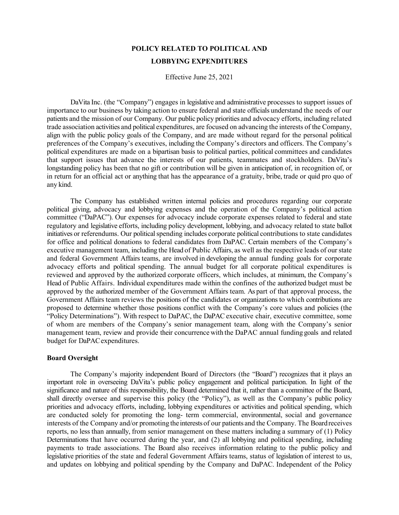# **POLICY RELATED TO POLITICAL AND LOBBYING EXPENDITURES**

Effective June 25, 2021

DaVita Inc. (the "Company") engages in legislative and administrative processes to support issues of importance to our business by taking action to ensure federal and state officials understand the needs of our patients and the mission of our Company. Our public policy priorities and advocacy efforts, including related trade association activities and political expenditures, are focused on advancing the interests of the Company, align with the public policy goals of the Company, and are made without regard for the personal political preferences of the Company's executives, including the Company's directors and officers. The Company's political expenditures are made on a bipartisan basis to political parties, political committees and candidates that support issues that advance the interests of our patients, teammates and stockholders. DaVita's longstanding policy has been that no gift or contribution will be given in anticipation of, in recognition of, or in return for an official act or anything that has the appearance of a gratuity, bribe, trade or quid pro quo of any kind.

The Company has established written internal policies and procedures regarding our corporate political giving, advocacy and lobbying expenses and the operation of the Company's political action committee ("DaPAC"). Our expenses for advocacy include corporate expenses related to federal and state regulatory and legislative efforts, including policy development, lobbying, and advocacy related to state ballot initiatives or referendums. Our political spending includes corporate political contributions to state candidates for office and political donations to federal candidates from DaPAC. Certain members of the Company's executive management team, including the Head of Public Affairs, as well as the respective leads of ourstate and federal Government Affairs teams, are involved in developing the annual funding goals for corporate advocacy efforts and political spending. The annual budget for all corporate political expenditures is reviewed and approved by the authorized corporate officers, which includes, at minimum, the Company's Head of Public Affairs. Individual expenditures made within the confines of the authorized budget must be approved by the authorized member of the Government Affairs team. As part of that approval process, the Government Affairs team reviews the positions of the candidates or organizations to which contributions are proposed to determine whether those positions conflict with the Company's core values and policies (the "Policy Determinations"). With respect to DaPAC, the DaPAC executive chair, executive committee, some of whom are members of the Company's senior management team, along with the Company's senior management team, review and provide their concurrence with the DaPAC annual funding goals and related budget for DaPACexpenditures.

# **Board Oversight**

The Company's majority independent Board of Directors (the "Board") recognizes that it plays an important role in overseeing DaVita's public policy engagement and political participation. In light of the significance and nature of this responsibility, the Board determined that it, rather than a committee of the Board, shall directly oversee and supervise this policy (the "Policy"), as well as the Company's public policy priorities and advocacy efforts, including, lobbying expenditures or activities and political spending, which are conducted solely for promoting the long- term commercial, environmental, social and governance interests of the Company and/or promoting the interestsof our patients and the Company. The Boardreceives reports, no less than annually, from senior management on these matters including a summary of (1) Policy Determinations that have occurred during the year, and (2) all lobbying and political spending, including payments to trade associations. The Board also receives information relating to the public policy and legislative priorities of the state and federal Government Affairs teams, status of legislation of interest to us, and updates on lobbying and political spending by the Company and DaPAC. Independent of the Policy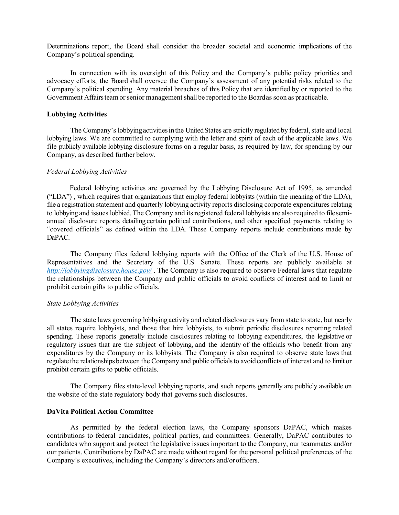Determinations report, the Board shall consider the broader societal and economic implications of the Company's political spending.

In connection with its oversight of this Policy and the Company's public policy priorities and advocacy efforts, the Board shall oversee the Company's assessment of any potential risks related to the Company's political spending. Any material breaches of this Policy that are identified by or reported to the Government Affairsteamor senior management shall be reported to the Boardas soon as practicable.

# **Lobbying Activities**

The Company's lobbying activities in the United States are strictly regulated by federal, state and local lobbying laws. We are committed to complying with the letter and spirit of each of the applicable laws. We file publicly available lobbying disclosure forms on a regular basis, as required by law, for spending by our Company, as described further below.

#### *Federal Lobbying Activities*

Federal lobbying activities are governed by the Lobbying Disclosure Act of 1995, as amended ("LDA") , which requires that organizations that employ federal lobbyists (within the meaning of the LDA), file a registration statement and quarterly lobbying activity reports disclosing corporate expenditures relating to lobbying and issues lobbied. The Company and its registered federal lobbyists are also required to filesemiannual disclosure reports detailing certain political contributions, and other specified payments relating to "covered officials" as defined within the LDA. These Company reports include contributions made by DaPAC.

The Company files federal lobbying reports with the Office of the Clerk of the U.S. House of Representatives and the Secretary of the U.S. Senate. These reports are publicly available at *<http://lobbyingdisclosure.house.gov/>* . The Company is also required to observe Federal laws that regulate the relationships between the Company and public officials to avoid conflicts of interest and to limit or prohibit certain gifts to public officials.

#### *State Lobbying Activities*

The state laws governing lobbying activity and related disclosures vary from state to state, but nearly all states require lobbyists, and those that hire lobbyists, to submit periodic disclosures reporting related spending. These reports generally include disclosures relating to lobbying expenditures, the legislative or regulatory issues that are the subject of lobbying, and the identity of the officials who benefit from any expenditures by the Company or its lobbyists. The Company is also required to observe state laws that regulate the relationships between the Company and publicofficialsto avoidconflicts of interest and to limit or prohibit certain gifts to public officials.

The Company files state-level lobbying reports, and such reports generally are publicly available on the website of the state regulatory body that governs such disclosures.

# **DaVita Political Action Committee**

As permitted by the federal election laws, the Company sponsors DaPAC, which makes contributions to federal candidates, political parties, and committees. Generally, DaPAC contributes to candidates who support and protect the legislative issues important to the Company, our teammates and/or our patients. Contributions by DaPAC are made without regard for the personal political preferences of the Company's executives, including the Company's directors and/orofficers.